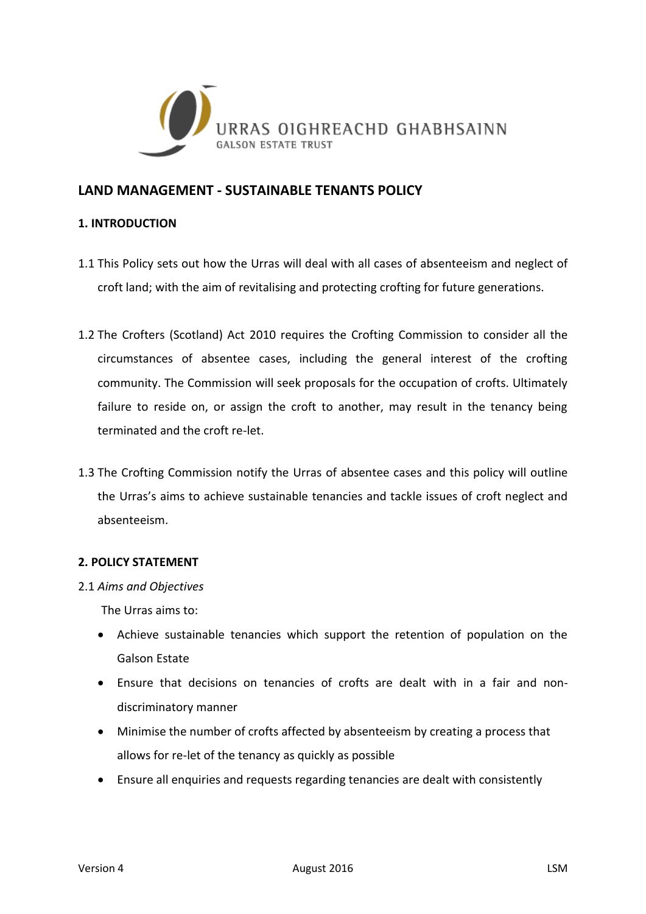

# **LAND MANAGEMENT - SUSTAINABLE TENANTS POLICY**

## **1. INTRODUCTION**

- 1.1 This Policy sets out how the Urras will deal with all cases of absenteeism and neglect of croft land; with the aim of revitalising and protecting crofting for future generations.
- 1.2 The Crofters (Scotland) Act 2010 requires the Crofting Commission to consider all the circumstances of absentee cases, including the general interest of the crofting community. The Commission will seek proposals for the occupation of crofts. Ultimately failure to reside on, or assign the croft to another, may result in the tenancy being terminated and the croft re-let.
- 1.3 The Crofting Commission notify the Urras of absentee cases and this policy will outline the Urras's aims to achieve sustainable tenancies and tackle issues of croft neglect and absenteeism.

## **2. POLICY STATEMENT**

2.1 *Aims and Objectives*

The Urras aims to:

- Achieve sustainable tenancies which support the retention of population on the Galson Estate
- Ensure that decisions on tenancies of crofts are dealt with in a fair and nondiscriminatory manner
- Minimise the number of crofts affected by absenteeism by creating a process that allows for re-let of the tenancy as quickly as possible
- Ensure all enquiries and requests regarding tenancies are dealt with consistently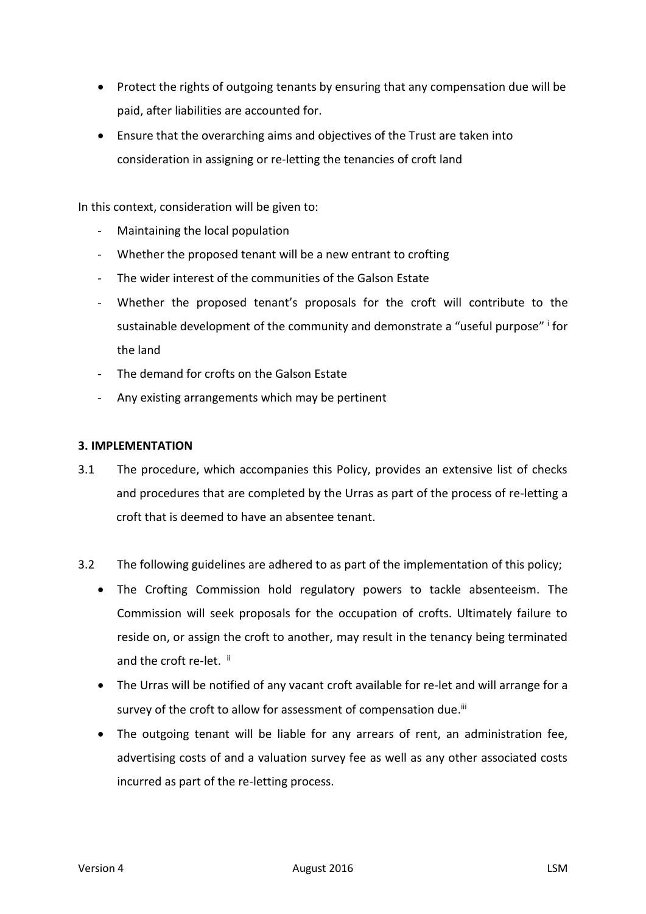- Protect the rights of outgoing tenants by ensuring that any compensation due will be paid, after liabilities are accounted for.
- Ensure that the overarching aims and objectives of the Trust are taken into consideration in assigning or re-letting the tenancies of croft land

In this context, consideration will be given to:

- Maintaining the local population
- Whether the proposed tenant will be a new entrant to crofting
- The wider interest of the communities of the Galson Estate
- Whether the proposed tenant's proposals for the croft will contribute to the sustainable development of the community and demonstrate a "useful purpose" i for the land
- The demand for crofts on the Galson Estate
- Any existing arrangements which may be pertinent

#### **3. IMPLEMENTATION**

- 3.1 The procedure, which accompanies this Policy, provides an extensive list of checks and procedures that are completed by the Urras as part of the process of re-letting a croft that is deemed to have an absentee tenant.
- 3.2 The following guidelines are adhered to as part of the implementation of this policy;
	- The Crofting Commission hold regulatory powers to tackle absenteeism. The Commission will seek proposals for the occupation of crofts. Ultimately failure to reside on, or assign the croft to another, may result in the tenancy being terminated and the croft re-let. ii
	- The Urras will be notified of any vacant croft available for re-let and will arrange for a survey of the croft to allow for assessment of compensation due.<sup>iii</sup>
	- The outgoing tenant will be liable for any arrears of rent, an administration fee, advertising costs of and a valuation survey fee as well as any other associated costs incurred as part of the re-letting process.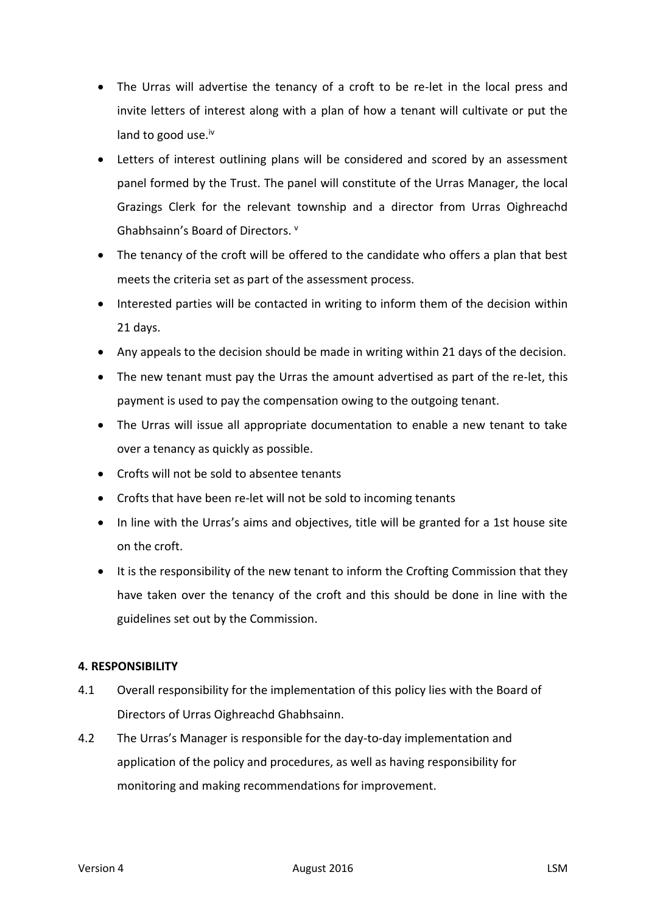- The Urras will advertise the tenancy of a croft to be re-let in the local press and invite letters of interest along with a plan of how a tenant will cultivate or put the land to good use.<sup>iv</sup>
- Letters of interest outlining plans will be considered and scored by an assessment panel formed by the Trust. The panel will constitute of the Urras Manager, the local Grazings Clerk for the relevant township and a director from Urras Oighreachd Ghabhsainn's Board of Directors. <sup>v</sup>
- The tenancy of the croft will be offered to the candidate who offers a plan that best meets the criteria set as part of the assessment process.
- Interested parties will be contacted in writing to inform them of the decision within 21 days.
- Any appeals to the decision should be made in writing within 21 days of the decision.
- The new tenant must pay the Urras the amount advertised as part of the re-let, this payment is used to pay the compensation owing to the outgoing tenant.
- The Urras will issue all appropriate documentation to enable a new tenant to take over a tenancy as quickly as possible.
- Crofts will not be sold to absentee tenants
- Crofts that have been re-let will not be sold to incoming tenants
- In line with the Urras's aims and objectives, title will be granted for a 1st house site on the croft.
- It is the responsibility of the new tenant to inform the Crofting Commission that they have taken over the tenancy of the croft and this should be done in line with the guidelines set out by the Commission.

## **4. RESPONSIBILITY**

- 4.1 Overall responsibility for the implementation of this policy lies with the Board of Directors of Urras Oighreachd Ghabhsainn.
- 4.2 The Urras's Manager is responsible for the day-to-day implementation and application of the policy and procedures, as well as having responsibility for monitoring and making recommendations for improvement.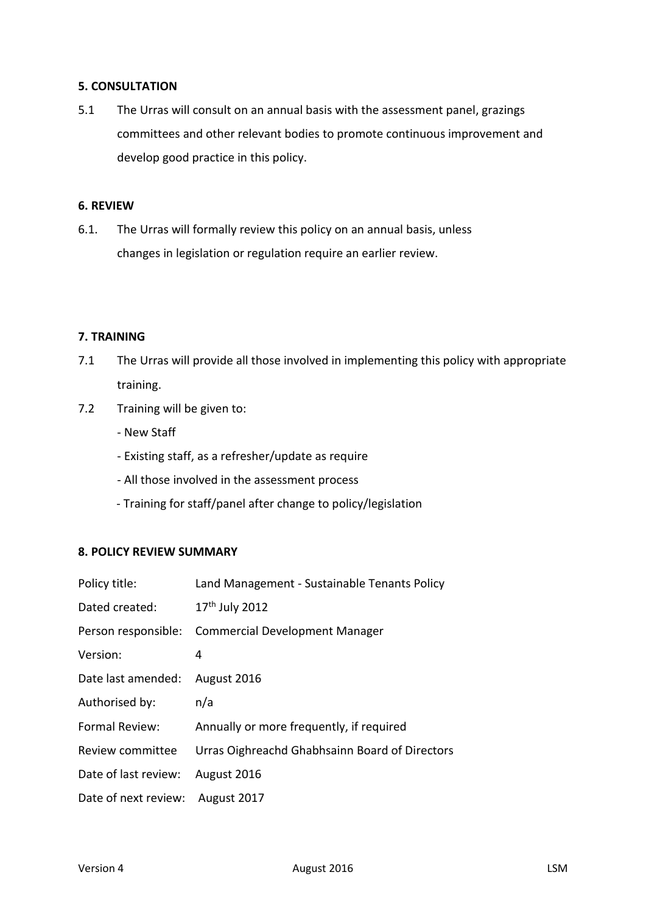### **5. CONSULTATION**

5.1 The Urras will consult on an annual basis with the assessment panel, grazings committees and other relevant bodies to promote continuous improvement and develop good practice in this policy.

## **6. REVIEW**

6.1. The Urras will formally review this policy on an annual basis, unless changes in legislation or regulation require an earlier review.

#### **7. TRAINING**

- 7.1 The Urras will provide all those involved in implementing this policy with appropriate training.
- 7.2 Training will be given to:
	- New Staff
	- Existing staff, as a refresher/update as require
	- All those involved in the assessment process
	- Training for staff/panel after change to policy/legislation

#### **8. POLICY REVIEW SUMMARY**

| Policy title:        | Land Management - Sustainable Tenants Policy       |
|----------------------|----------------------------------------------------|
| Dated created:       | 17 <sup>th</sup> July 2012                         |
|                      | Person responsible: Commercial Development Manager |
| Version:             | 4                                                  |
| Date last amended:   | August 2016                                        |
| Authorised by:       | n/a                                                |
| Formal Review:       | Annually or more frequently, if required           |
| Review committee     | Urras Oighreachd Ghabhsainn Board of Directors     |
| Date of last review: | August 2016                                        |
| Date of next review: | August 2017                                        |